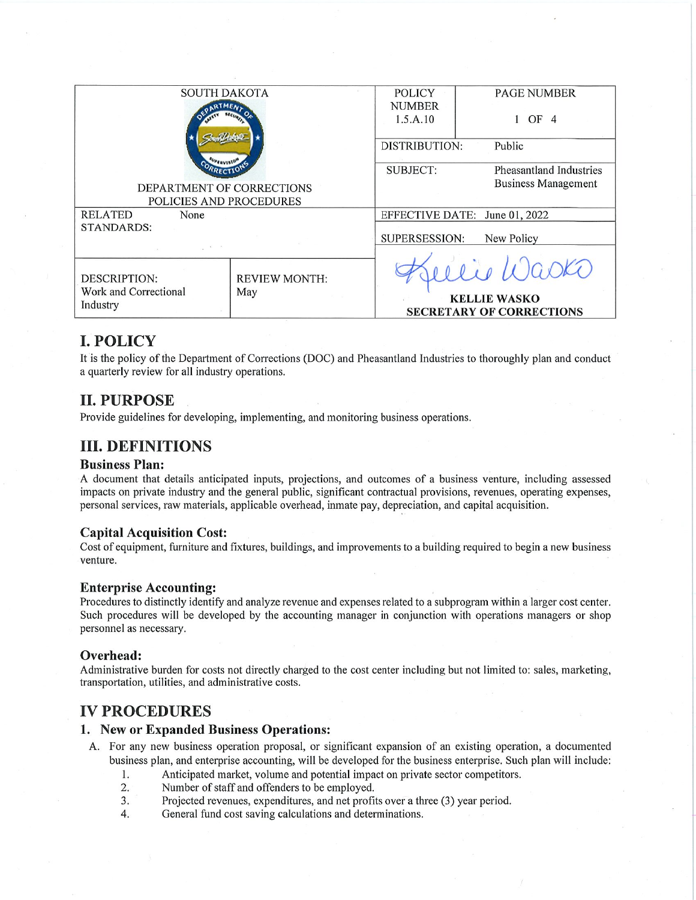| <b>SOUTH DAKOTA</b>       |                             | <b>POLICY</b>                 | <b>PAGE NUMBER</b>              |  |
|---------------------------|-----------------------------|-------------------------------|---------------------------------|--|
|                           |                             | <b>NUMBER</b>                 |                                 |  |
|                           |                             | 1.5.A.10                      | OF <sub>4</sub>                 |  |
|                           |                             |                               |                                 |  |
|                           |                             | <b>DISTRIBUTION:</b>          | Public                          |  |
|                           |                             |                               |                                 |  |
|                           |                             | <b>SUBJECT:</b>               | Pheasantland Industries         |  |
| DEPARTMENT OF CORRECTIONS |                             |                               | <b>Business Management</b>      |  |
| POLICIES AND PROCEDURES   |                             |                               |                                 |  |
| <b>RELATED</b><br>None    |                             | EFFECTIVE DATE: June 01, 2022 |                                 |  |
| <b>STANDARDS:</b>         |                             |                               |                                 |  |
|                           |                             | SUPERSESSION:<br>New Policy   |                                 |  |
|                           |                             |                               |                                 |  |
|                           |                             |                               | lie Wasko                       |  |
| <b>DESCRIPTION:</b>       | <b>REVIEW MONTH:</b><br>May |                               |                                 |  |
| Work and Correctional     |                             |                               |                                 |  |
| Industry                  |                             | <b>KELLIE WASKO</b>           |                                 |  |
|                           |                             |                               | <b>SECRETARY OF CORRECTIONS</b> |  |
|                           |                             |                               |                                 |  |

## **I. POLICY**

It is the policy of the Department of Corrections (DOC) and Pheasantland Industries to thoroughly plan and conduct a quarterly review for all industry operations.

## **II. PURPOSE**

Provide guidelines for developing, implementing, and monitoring business operations.

## **III. DEFINITIONS**

#### **Business Plan:**

A document that details anticipated inputs, projections, and outcomes of a business venture, including assessed impacts on private industry and the general public, significant contractual provisions, revenues, operating expenses, personal services, raw materials, applicable overhead, inmate pay, depreciation, and capital acquisition.

### **Capital Acquisition Cost:**

Cost of equipment, furniture and fixtures, buildings, and improvements to a building required to begin a new business venture.

### **Enterprise Accounting:**

Procedures to distinctly identify and analyze revenue and expenses related to a subprogram within a larger cost center. Such procedures will be developed by the accounting manager in conjunction with operations managers or shop personnel as necessary.

### Overhead:

Administrative burden for costs not directly charged to the cost center including but not limited to: sales, marketing, transportation, utilities, and administrative costs.

### **IV PROCEDURES**

### 1. New or Expanded Business Operations:

- A. For any new business operation proposal, or significant expansion of an existing operation, a documented business plan, and enterprise accounting, will be developed for the business enterprise. Such plan will include:
	- Anticipated market, volume and potential impact on private sector competitors.  $1.$
	- $\overline{2}$ . Number of staff and offenders to be employed.
	- 3. Projected revenues, expenditures, and net profits over a three (3) year period.
	- $4.$ General fund cost saving calculations and determinations.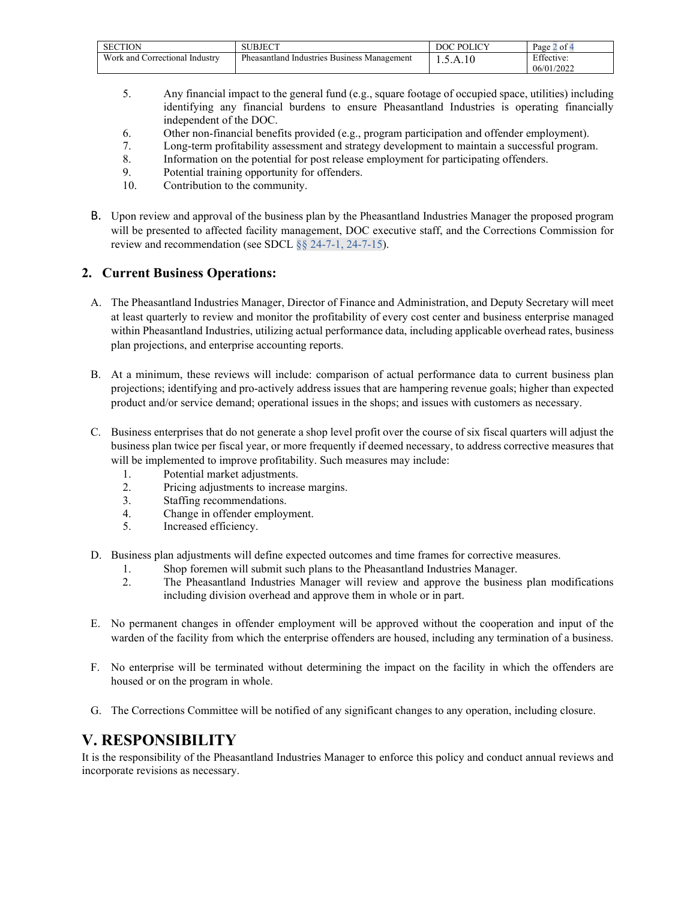| <b>SECTION</b>                    | SUBJECT                                        | <b>DOLICY</b><br>100C | $\sim$<br>Page<br>of 4 |
|-----------------------------------|------------------------------------------------|-----------------------|------------------------|
| Work and<br>Correctional Industry | Pheasantland Industries<br>Business Management | 1.5.A.10              | Effective:             |
|                                   |                                                |                       | 06/01/2022             |

- 5. Any financial impact to the general fund (e.g., square footage of occupied space, utilities) including identifying any financial burdens to ensure Pheasantland Industries is operating financially independent of the DOC.
- 6. Other non-financial benefits provided (e.g., program participation and offender employment).
- 7. Long-term profitability assessment and strategy development to maintain a successful program.
- 8. Information on the potential for post release employment for participating offenders.
- 9. Potential training opportunity for offenders.
- 10. Contribution to the community.
- B. Upon review and approval of the business plan by the Pheasantland Industries Manager the proposed program will be presented to affected facility management, DOC executive staff, and the Corrections Commission for review and recommendation (see SDCL §§ 24-7-1, 24-7-15).

### **2. Current Business Operations:**

- A. The Pheasantland Industries Manager, Director of Finance and Administration, and Deputy Secretary will meet at least quarterly to review and monitor the profitability of every cost center and business enterprise managed within Pheasantland Industries, utilizing actual performance data, including applicable overhead rates, business plan projections, and enterprise accounting reports.
- B. At a minimum, these reviews will include: comparison of actual performance data to current business plan projections; identifying and pro-actively address issues that are hampering revenue goals; higher than expected product and/or service demand; operational issues in the shops; and issues with customers as necessary.
- C. Business enterprises that do not generate a shop level profit over the course of six fiscal quarters will adjust the business plan twice per fiscal year, or more frequently if deemed necessary, to address corrective measures that will be implemented to improve profitability. Such measures may include:
	- 1. Potential market adjustments.<br>2. Pricing adjustments to increase
	- Pricing adjustments to increase margins.
	- 3. Staffing recommendations.
	- 4. Change in offender employment.
	- 5. Increased efficiency.
- D. Business plan adjustments will define expected outcomes and time frames for corrective measures.
	- 1. Shop foremen will submit such plans to the Pheasantland Industries Manager.<br>2. The Pheasantland Industries Manager will review and approve the business
	- 2. The Pheasantland Industries Manager will review and approve the business plan modifications including division overhead and approve them in whole or in part.
- E. No permanent changes in offender employment will be approved without the cooperation and input of the warden of the facility from which the enterprise offenders are housed, including any termination of a business.
- F. No enterprise will be terminated without determining the impact on the facility in which the offenders are housed or on the program in whole.
- G. The Corrections Committee will be notified of any significant changes to any operation, including closure.

## **V. RESPONSIBILITY**

It is the responsibility of the Pheasantland Industries Manager to enforce this policy and conduct annual reviews and incorporate revisions as necessary.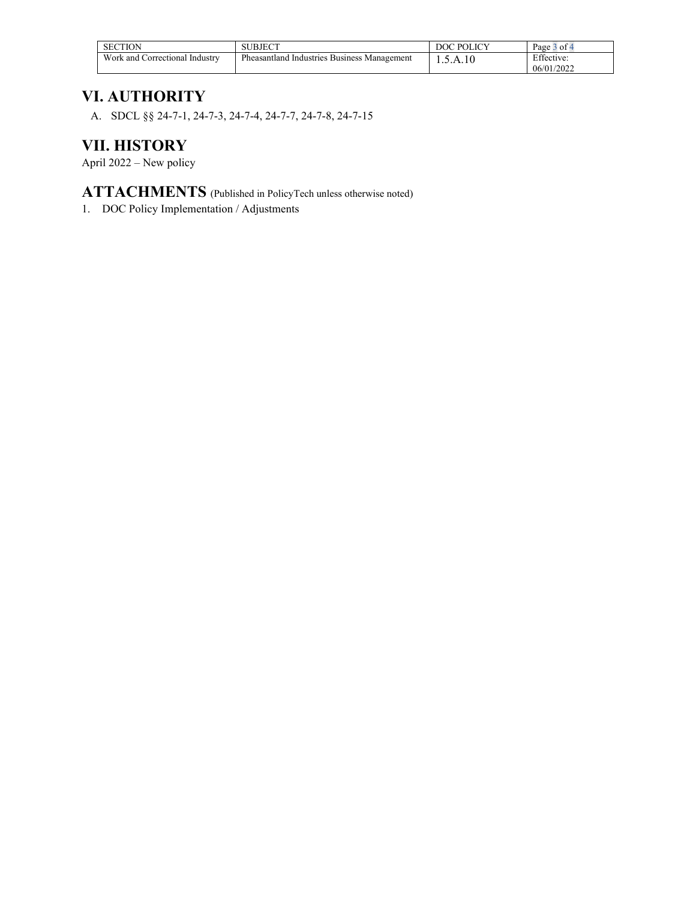| <b>SECTION</b>                              | <b>JBJECT</b><br>. J L.                                  | <b>POLICY</b> | $\sim$<br>Page<br>ot 4                    |
|---------------------------------------------|----------------------------------------------------------|---------------|-------------------------------------------|
| Work and C.<br>. Industrv<br>Correctional ' | Pheasantland<br><b>Business Management</b><br>Industries | l.5.A.10      | $E^{ac}$<br>Effective:<br>/2022<br>06/01/ |

## **VI. AUTHORITY**

A. SDCL §§ 24-7-1, 24-7-3, 24-7-4, 24-7-7, 24-7-8, 24-7-15

# **VII. HISTORY**

April 2022 – New policy

**ATTACHMENTS** (Published in PolicyTech unless otherwise noted)

1. DOC Policy Implementation / Adjustments